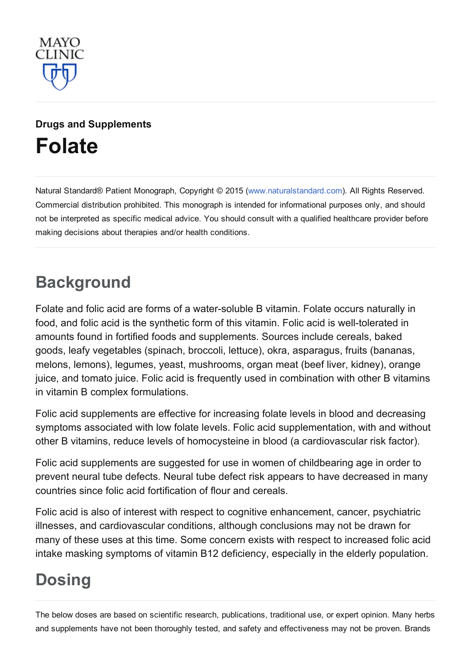

# Drugs and [Supplements](http://www.mayoclinic.org/drugs-supplements) [Folate](http://www.mayoclinic.org/drugs-supplements/folate/background/hrb-20059475)

Natural Standard® Patient Monograph, Copyright © 2015 [\(www.naturalstandard.com](http://www.naturalstandard.com/)). All Rights Reserved. Commercial distribution prohibited. This monograph is intended for informational purposes only, and should not be interpreted as specific medical advice. You should consult with a qualified healthcare provider before making decisions about therapies and/or health conditions.

# **Background**

Folate and folic acid are forms of a water-soluble B vitamin. Folate occurs naturally in food, and folic acid is the synthetic form of this vitamin. Folic acid is well-tolerated in amounts found in fortified foods and supplements. Sources include cereals, baked goods, leafy vegetables (spinach, broccoli, lettuce), okra, asparagus, fruits (bananas, melons, lemons), legumes, yeast, mushrooms, organ meat (beef liver, kidney), orange juice, and tomato juice. Folic acid is frequently used in combination with other B vitamins in vitamin B complex formulations.

Folic acid supplements are effective for increasing folate levels in blood and decreasing symptoms associated with low folate levels. Folic acid supplementation, with and without other B vitamins, reduce levels of homocysteine in blood (a cardiovascular risk factor).

Folic acid supplements are suggested for use in women of childbearing age in order to prevent neural tube defects. Neural tube defect risk appears to have decreased in many countries since folic acid fortification of flour and cereals.

Folic acid is also of interest with respect to cognitive enhancement, cancer, psychiatric illnesses, and cardiovascular conditions, although conclusions may not be drawn for many of these uses at this time. Some concern exists with respect to increased folic acid intake masking symptoms of vitamin B12 deficiency, especially in the elderly population.

# **Dosing**

The below doses are based on scientific research, publications, traditional use, or expert opinion. Many herbs and supplements have not been thoroughly tested, and safety and effectiveness may not be proven. Brands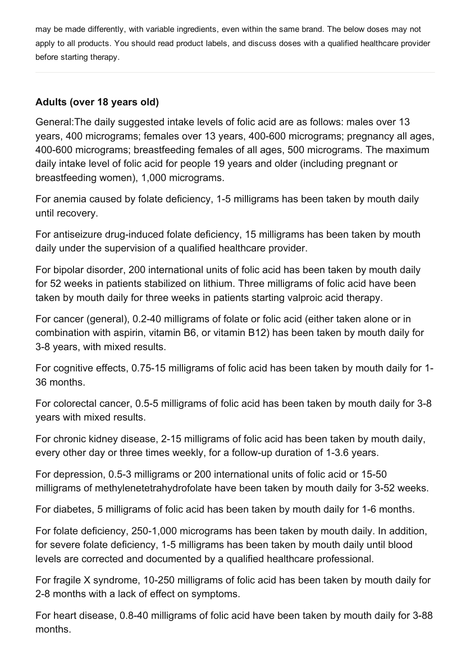may be made differently, with variable ingredients, even within the same brand. The below doses may not apply to all products. You should read product labels, and discuss doses with a qualified healthcare provider before starting therapy.

### Adults (over 18 years old)

General:The daily suggested intake levels of folic acid are as follows: males over 13 years, 400 micrograms; females over 13 years, 400-600 micrograms; pregnancy all ages, 400-600 micrograms; breastfeeding females of all ages, 500 micrograms. The maximum daily intake level of folic acid for people 19 years and older (including pregnant or breastfeeding women), 1,000 micrograms.

For anemia caused by folate deficiency, 1-5 milligrams has been taken by mouth daily until recovery.

For antiseizure drug-induced folate deficiency, 15 milligrams has been taken by mouth daily under the supervision of a qualified healthcare provider.

For bipolar disorder, 200 international units of folic acid has been taken by mouth daily for 52 weeks in patients stabilized on lithium. Three milligrams of folic acid have been taken by mouth daily for three weeks in patients starting valproic acid therapy.

For cancer (general), 0.240 milligrams of folate or folic acid (either taken alone or in combination with aspirin, vitamin B6, or vitamin B12) has been taken by mouth daily for 3-8 years, with mixed results.

For cognitive effects, 0.75-15 milligrams of folic acid has been taken by mouth daily for 1-36 months.

For colorectal cancer, 0.5-5 milligrams of folic acid has been taken by mouth daily for 3-8 years with mixed results.

For chronic kidney disease, 2-15 milligrams of folic acid has been taken by mouth daily, every other day or three times weekly, for a follow-up duration of 1-3.6 years.

For depression, 0.5-3 milligrams or 200 international units of folic acid or 15-50 milligrams of methylenetetrahydrofolate have been taken by mouth daily for 3-52 weeks.

For diabetes, 5 milligrams of folic acid has been taken by mouth daily for 16 months.

For folate deficiency, 250-1,000 micrograms has been taken by mouth daily. In addition, for severe folate deficiency, 1-5 milligrams has been taken by mouth daily until blood levels are corrected and documented by a qualified healthcare professional.

For fragile X syndrome, 10250 milligrams of folic acid has been taken by mouth daily for 28 months with a lack of effect on symptoms.

For heart disease, 0.8-40 milligrams of folic acid have been taken by mouth daily for 3-88 months.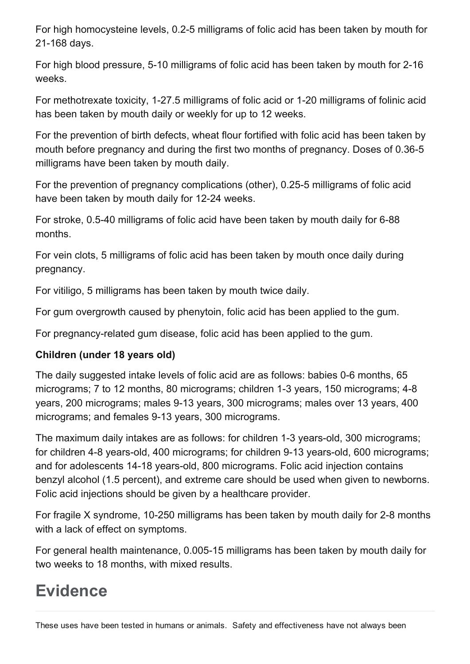For high homocysteine levels, 0.25 milligrams of folic acid has been taken by mouth for 21-168 days.

For high blood pressure, 510 milligrams of folic acid has been taken by mouth for 216 weeks.

For methotrexate toxicity, 127.5 milligrams of folic acid or 120 milligrams of folinic acid has been taken by mouth daily or weekly for up to 12 weeks.

For the prevention of birth defects, wheat flour fortified with folic acid has been taken by mouth before pregnancy and during the first two months of pregnancy. Doses of 0.36-5 milligrams have been taken by mouth daily.

For the prevention of pregnancy complications (other), 0.25-5 milligrams of folic acid have been taken by mouth daily for 12-24 weeks.

For stroke, 0.5-40 milligrams of folic acid have been taken by mouth daily for 6-88 months.

For vein clots, 5 milligrams of folic acid has been taken by mouth once daily during pregnancy.

For vitiligo, 5 milligrams has been taken by mouth twice daily.

For gum overgrowth caused by phenytoin, folic acid has been applied to the gum.

For pregnancy-related gum disease, folic acid has been applied to the gum.

### Children (under 18 years old)

The daily suggested intake levels of folic acid are as follows: babies 0-6 months, 65 micrograms; 7 to 12 months, 80 micrograms; children 1-3 years, 150 micrograms; 4-8 years, 200 micrograms; males 9-13 years, 300 micrograms; males over 13 years, 400 micrograms; and females 9-13 years, 300 micrograms.

The maximum daily intakes are as follows: for children 1-3 years-old, 300 micrograms; for children 4-8 years-old, 400 micrograms; for children 9-13 years-old, 600 micrograms; and for adolescents 14-18 years-old, 800 micrograms. Folic acid injection contains benzyl alcohol (1.5 percent), and extreme care should be used when given to newborns. Folic acid injections should be given by a healthcare provider.

For fragile X syndrome, 10-250 milligrams has been taken by mouth daily for 2-8 months with a lack of effect on symptoms.

For general health maintenance, 0.005-15 milligrams has been taken by mouth daily for two weeks to 18 months, with mixed results.

## **Evidence**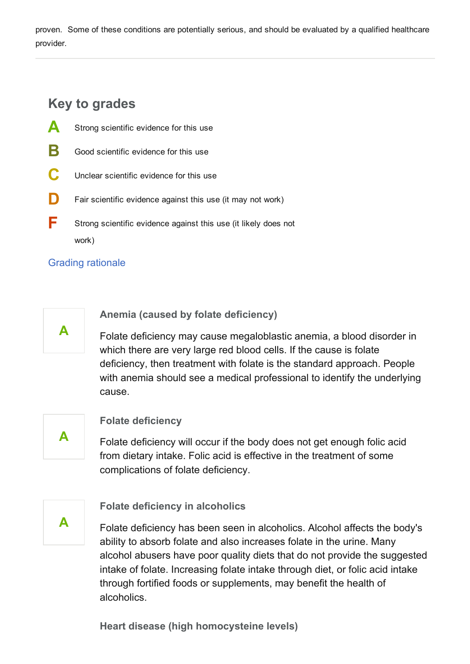proven. Some of these conditions are potentially serious, and should be evaluated by a qualified healthcare provider.

## Key to grades

- **A** Strong scientific evidence for this use
- **B** Good scientific evidence for this use
- $\mathbf C$  Unclear scientific evidence for this use
- **D** Fair scientific evidence against this use (it may not work)
- **F** Strong scientific evidence against this use (it likely does not work)

#### Grading [rationale](http://www.mayoclinic.org/drugs-supplements/grading-rationale)



Anemia (caused by folate deficiency)

Folate deficiency may cause megaloblastic anemia, a blood disorder in which there are very large red blood cells. If the cause is folate deficiency, then treatment with folate is the standard approach. People with anemia should see a medical professional to identify the underlying cause.



#### Folate deficiency

Folate deficiency will occur if the body does not get enough folic acid from dietary intake. Folic acid is effective in the treatment of some complications of folate deficiency.



#### Folate deficiency in alcoholics

Folate deficiency has been seen in alcoholics. Alcohol affects the body's ability to absorb folate and also increases folate in the urine. Many alcohol abusers have poor quality diets that do not provide the suggested intake of folate. Increasing folate intake through diet, or folic acid intake through fortified foods or supplements, may benefit the health of alcoholics.

Heart disease (high homocysteine levels)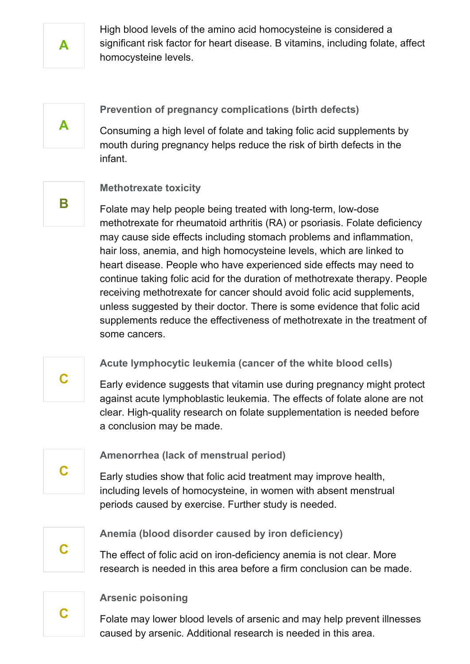

High blood levels of the amino acid homocysteine is considered a significant risk factor for heart disease. B vitamins, including folate, affect homocysteine levels.

# A

Prevention of pregnancy complications (birth defects)

Consuming a high level of folate and taking folic acid supplements by mouth during pregnancy helps reduce the risk of birth defects in the infant.



#### Methotrexate toxicity

Folate may help people being treated with long-term, low-dose methotrexate for rheumatoid arthritis (RA) or psoriasis. Folate deficiency may cause side effects including stomach problems and inflammation, hair loss, anemia, and high homocysteine levels, which are linked to heart disease. People who have experienced side effects may need to continue taking folic acid for the duration of methotrexate therapy. People receiving methotrexate for cancer should avoid folic acid supplements, unless suggested by their doctor. There is some evidence that folic acid supplements reduce the effectiveness of methotrexate in the treatment of some cancers.

Acute lymphocytic leukemia (cancer of the white blood cells)

Early evidence suggests that vitamin use during pregnancy might protect against acute lymphoblastic leukemia. The effects of folate alone are not clear. High-quality research on folate supplementation is needed before a conclusion may be made.

Amenorrhea (lack of menstrual period)

Early studies show that folic acid treatment may improve health, including levels of homocysteine, in women with absent menstrual periods caused by exercise. Further study is needed.

C

C

C

Anemia (blood disorder caused by iron deficiency)

The effect of folic acid on iron-deficiency anemia is not clear. More research is needed in this area before a firm conclusion can be made.

# C

### Arsenic poisoning

Folate may lower blood levels of arsenic and may help prevent illnesses caused by arsenic. Additional research is needed in this area.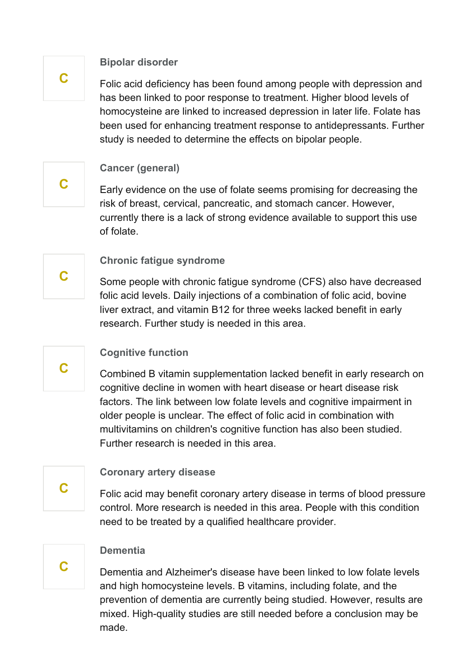#### Bipolar disorder

Folic acid deficiency has been found among people with depression and has been linked to poor response to treatment. Higher blood levels of homocysteine are linked to increased depression in later life. Folate has been used for enhancing treatment response to antidepressants. Further study is needed to determine the effects on bipolar people.

#### Cancer (general)

Early evidence on the use of folate seems promising for decreasing the risk of breast, cervical, pancreatic, and stomach cancer. However, currently there is a lack of strong evidence available to support this use of folate.

#### Chronic fatigue syndrome

Some people with chronic fatigue syndrome (CFS) also have decreased folic acid levels. Daily injections of a combination of folic acid, bovine liver extract, and vitamin B12 for three weeks lacked benefit in early research. Further study is needed in this area.

#### Cognitive function

Combined B vitamin supplementation lacked benefit in early research on cognitive decline in women with heart disease or heart disease risk factors. The link between low folate levels and cognitive impairment in older people is unclear. The effect of folic acid in combination with multivitamins on children's cognitive function has also been studied. Further research is needed in this area.

#### Coronary artery disease

Folic acid may benefit coronary artery disease in terms of blood pressure control. More research is needed in this area. People with this condition need to be treated by a qualified healthcare provider.

# C

C

#### **Dementia**

Dementia and Alzheimer's disease have been linked to low folate levels and high homocysteine levels. B vitamins, including folate, and the prevention of dementia are currently being studied. However, results are mixed. High-quality studies are still needed before a conclusion may be made.

C

C



C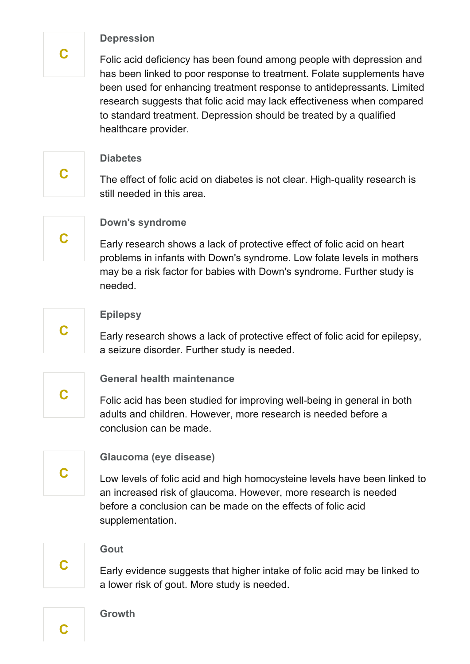#### Depression

Folic acid deficiency has been found among people with depression and has been linked to poor response to treatment. Folate supplements have been used for enhancing treatment response to antidepressants. Limited research suggests that folic acid may lack effectiveness when compared to standard treatment. Depression should be treated by a qualified healthcare provider.

#### **Diabetes**

The effect of folic acid on diabetes is not clear. High-quality research is still needed in this area.



C

#### Down's syndrome

Early research shows a lack of protective effect of folic acid on heart problems in infants with Down's syndrome. Low folate levels in mothers may be a risk factor for babies with Down's syndrome. Further study is needed.



#### **Epilepsy**

Early research shows a lack of protective effect of folic acid for epilepsy, a seizure disorder. Further study is needed.



#### General health maintenance

Folic acid has been studied for improving well-being in general in both adults and children. However, more research is needed before a conclusion can be made.



#### Glaucoma (eye disease)

Low levels of folic acid and high homocysteine levels have been linked to an increased risk of glaucoma. However, more research is needed before a conclusion can be made on the effects of folic acid supplementation.



#### **Gout**

Early evidence suggests that higher intake of folic acid may be linked to a lower risk of gout. More study is needed.



C

## Growth

C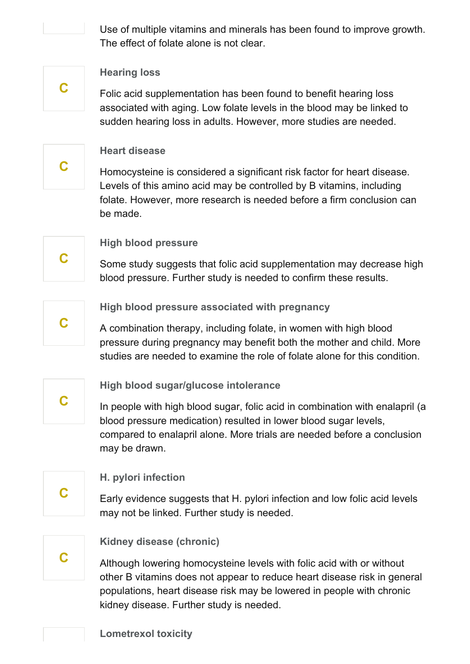Use of multiple vitamins and minerals has been found to improve growth. The effect of folate alone is not clear.



C

#### Hearing loss

Folic acid supplementation has been found to benefit hearing loss associated with aging. Low folate levels in the blood may be linked to sudden hearing loss in adults. However, more studies are needed.

#### Heart disease

Homocysteine is considered a significant risk factor for heart disease. Levels of this amino acid may be controlled by B vitamins, including folate. However, more research is needed before a firm conclusion can be made.



#### High blood pressure

Some study suggests that folic acid supplementation may decrease high blood pressure. Further study is needed to confirm these results.



High blood pressure associated with pregnancy

A combination therapy, including folate, in women with high blood pressure during pregnancy may benefit both the mother and child. More studies are needed to examine the role of folate alone for this condition.



#### High blood sugar/glucose intolerance

In people with high blood sugar, folic acid in combination with enalapril (a blood pressure medication) resulted in lower blood sugar levels, compared to enalapril alone. More trials are needed before a conclusion may be drawn.



#### H. pylori infection

Early evidence suggests that H. pylori infection and low folic acid levels may not be linked. Further study is needed.



Kidney disease (chronic)

Although lowering homocysteine levels with folic acid with or without other B vitamins does not appear to reduce heart disease risk in general populations, heart disease risk may be lowered in people with chronic kidney disease. Further study is needed.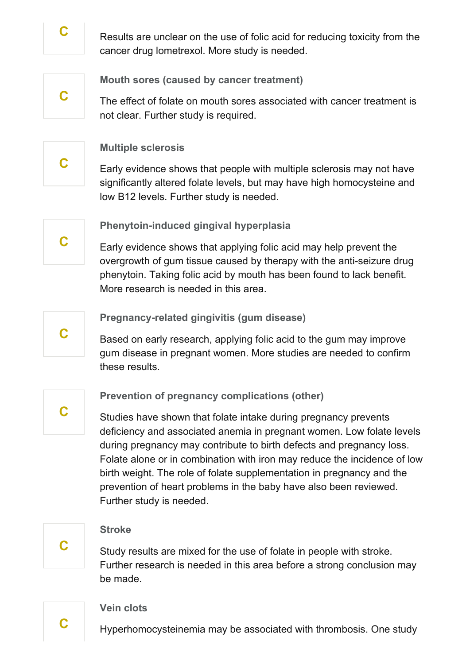

C

C Results are unclear on the use of folic acid for reducing toxicity from the cancer drug lometrexol. More study is needed.

Mouth sores (caused by cancer treatment)

The effect of folate on mouth sores associated with cancer treatment is not clear. Further study is required.



#### Multiple sclerosis

Early evidence shows that people with multiple sclerosis may not have significantly altered folate levels, but may have high homocysteine and low B12 levels. Further study is needed.



Phenytoin-induced gingival hyperplasia

Early evidence shows that applying folic acid may help prevent the overgrowth of gum tissue caused by therapy with the anti-seizure drug phenytoin. Taking folic acid by mouth has been found to lack benefit. More research is needed in this area.

# C

Pregnancy-related gingivitis (gum disease)

Based on early research, applying folic acid to the gum may improve gum disease in pregnant women. More studies are needed to confirm these results.



#### Prevention of pregnancy complications (other)

Studies have shown that folate intake during pregnancy prevents deficiency and associated anemia in pregnant women. Low folate levels during pregnancy may contribute to birth defects and pregnancy loss. Folate alone or in combination with iron may reduce the incidence of low birth weight. The role of folate supplementation in pregnancy and the prevention of heart problems in the baby have also been reviewed. Further study is needed.

#### Stroke

Study results are mixed for the use of folate in people with stroke. Further research is needed in this area before a strong conclusion may be made.

#### Vein clots

Hyperhomocysteinemia may be associated with thrombosis. One study

C

C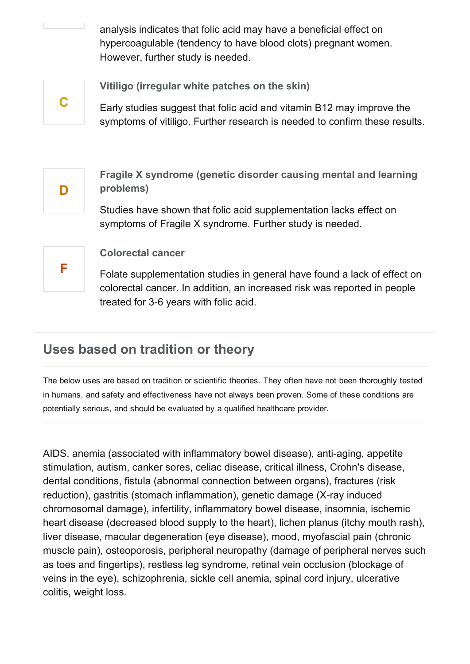analysis indicates that folic acid may have a beneficial effect on hypercoagulable (tendency to have blood clots) pregnant women. However, further study is needed.

$$
\mathbf{C}^{\dagger}
$$

Vitiligo (irregular white patches on the skin)

Early studies suggest that folic acid and vitamin B12 may improve the symptoms of vitiligo. Further research is needed to confirm these results.



Fragile X syndrome (genetic disorder causing mental and learning problems)

Studies have shown that folic acid supplementation lacks effect on symptoms of Fragile X syndrome. Further study is needed.



Colorectal cancer

Folate supplementation studies in general have found a lack of effect on colorectal cancer. In addition, an increased risk was reported in people treated for 3-6 years with folic acid.

## Uses based on tradition or theory

The below uses are based on tradition or scientific theories. They often have not been thoroughly tested in humans, and safety and effectiveness have not always been proven. Some of these conditions are potentially serious, and should be evaluated by a qualified healthcare provider.

AIDS, anemia (associated with inflammatory bowel disease), anti-aging, appetite stimulation, autism, canker sores, celiac disease, critical illness, Crohn's disease, dental conditions, fistula (abnormal connection between organs), fractures (risk reduction), gastritis (stomach inflammation), genetic damage (X-ray induced chromosomal damage), infertility, inflammatory bowel disease, insomnia, ischemic heart disease (decreased blood supply to the heart), lichen planus (itchy mouth rash), liver disease, macular degeneration (eye disease), mood, myofascial pain (chronic muscle pain), osteoporosis, peripheral neuropathy (damage of peripheral nerves such as toes and fingertips), restless leg syndrome, retinal vein occlusion (blockage of veins in the eye), schizophrenia, sickle cell anemia, spinal cord injury, ulcerative colitis, weight loss.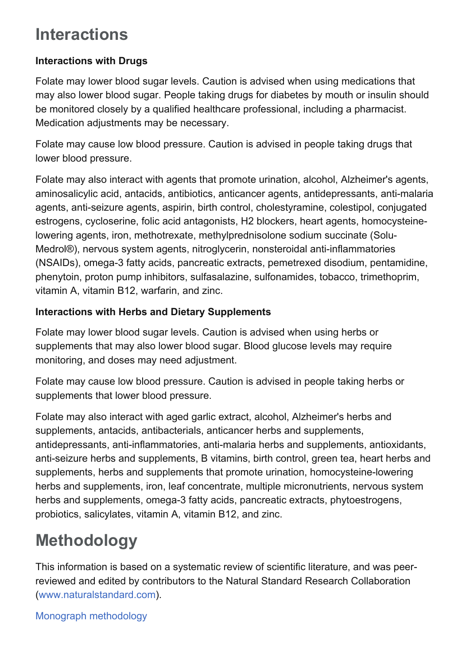## Interactions

## Interactions with Drugs

Folate may lower blood sugar levels. Caution is advised when using medications that may also lower blood sugar. People taking drugs for diabetes by mouth or insulin should be monitored closely by a qualified healthcare professional, including a pharmacist. Medication adjustments may be necessary.

Folate may cause low blood pressure. Caution is advised in people taking drugs that lower blood pressure.

Folate may also interact with agents that promote urination, alcohol, Alzheimer's agents, aminosalicylic acid, antacids, antibiotics, anticancer agents, antidepressants, anti-malaria agents, anti-seizure agents, aspirin, birth control, cholestyramine, colestipol, conjugated estrogens, cycloserine, folic acid antagonists, H2 blockers, heart agents, homocysteinelowering agents, iron, methotrexate, methylprednisolone sodium succinate (Solu-Medrol®), nervous system agents, nitroglycerin, nonsteroidal anti-inflammatories (NSAIDs), omega-3 fatty acids, pancreatic extracts, pemetrexed disodium, pentamidine, phenytoin, proton pump inhibitors, sulfasalazine, sulfonamides, tobacco, trimethoprim, vitamin A, vitamin B12, warfarin, and zinc.

## Interactions with Herbs and Dietary Supplements

Folate may lower blood sugar levels. Caution is advised when using herbs or supplements that may also lower blood sugar. Blood glucose levels may require monitoring, and doses may need adjustment.

Folate may cause low blood pressure. Caution is advised in people taking herbs or supplements that lower blood pressure.

Folate may also interact with aged garlic extract, alcohol, Alzheimer's herbs and supplements, antacids, antibacterials, anticancer herbs and supplements, antidepressants, anti-inflammatories, anti-malaria herbs and supplements, antioxidants, anti-seizure herbs and supplements, B vitamins, birth control, green tea, heart herbs and supplements, herbs and supplements that promote urination, homocysteine-lowering herbs and supplements, iron, leaf concentrate, multiple micronutrients, nervous system herbs and supplements, omega-3 fatty acids, pancreatic extracts, phytoestrogens, probiotics, salicylates, vitamin A, vitamin B12, and zinc.

# Methodology

This information is based on a systematic review of scientific literature, and was peerreviewed and edited by contributors to the Natural Standard Research Collaboration [\(www.naturalstandard.com\)](http://www.naturalstandard.com/).

Monograph [methodology](http://www.mayoclinic.org/drugs-supplements/folate/evidence/~/link.aspx?_id=544A2CC2284747E4AE7FEDA9238F7C96&_z=z)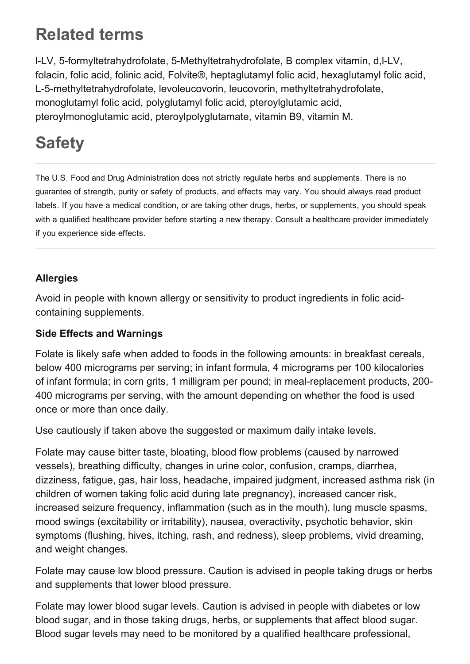# Related terms

I-LV, 5-formyltetrahydrofolate, 5-Methyltetrahydrofolate, B complex vitamin, d, I-LV, folacin, folic acid, folinic acid, Folvite®, heptaglutamyl folic acid, hexaglutamyl folic acid, L5methyltetrahydrofolate, levoleucovorin, leucovorin, methyltetrahydrofolate, monoglutamyl folic acid, polyglutamyl folic acid, pteroylglutamic acid, pteroylmonoglutamic acid, pteroylpolyglutamate, vitamin B9, vitamin M.

# **Safety**

The U.S. Food and Drug Administration does not strictly regulate herbs and supplements. There is no guarantee of strength, purity or safety of products, and effects may vary. You should always read product labels. If you have a medical condition, or are taking other drugs, herbs, or supplements, you should speak with a qualified healthcare provider before starting a new therapy. Consult a healthcare provider immediately if you experience side effects.

## Allergies

Avoid in people with known allergy or sensitivity to product ingredients in folic acidcontaining supplements.

#### Side Effects and Warnings

Folate is likely safe when added to foods in the following amounts: in breakfast cereals, below 400 micrograms per serving; in infant formula, 4 micrograms per 100 kilocalories of infant formula; in corn grits, 1 milligram per pound; in meal-replacement products, 200-400 micrograms per serving, with the amount depending on whether the food is used once or more than once daily.

Use cautiously if taken above the suggested or maximum daily intake levels.

Folate may cause bitter taste, bloating, blood flow problems (caused by narrowed vessels), breathing difficulty, changes in urine color, confusion, cramps, diarrhea, dizziness, fatigue, gas, hair loss, headache, impaired judgment, increased asthma risk (in children of women taking folic acid during late pregnancy), increased cancer risk, increased seizure frequency, inflammation (such as in the mouth), lung muscle spasms, mood swings (excitability or irritability), nausea, overactivity, psychotic behavior, skin symptoms (flushing, hives, itching, rash, and redness), sleep problems, vivid dreaming, and weight changes.

Folate may cause low blood pressure. Caution is advised in people taking drugs or herbs and supplements that lower blood pressure.

Folate may lower blood sugar levels. Caution is advised in people with diabetes or low blood sugar, and in those taking drugs, herbs, or supplements that affect blood sugar. Blood sugar levels may need to be monitored by a qualified healthcare professional,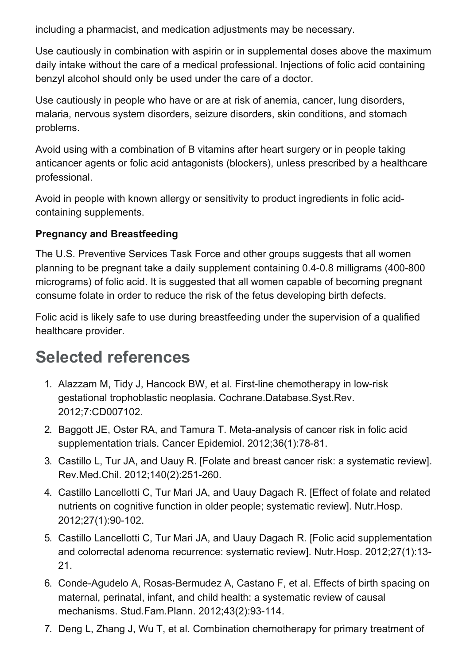including a pharmacist, and medication adjustments may be necessary.

Use cautiously in combination with aspirin or in supplemental doses above the maximum daily intake without the care of a medical professional. Injections of folic acid containing benzyl alcohol should only be used under the care of a doctor.

Use cautiously in people who have or are at risk of anemia, cancer, lung disorders, malaria, nervous system disorders, seizure disorders, skin conditions, and stomach problems.

Avoid using with a combination of B vitamins after heart surgery or in people taking anticancer agents or folic acid antagonists (blockers), unless prescribed by a healthcare professional.

Avoid in people with known allergy or sensitivity to product ingredients in folic acidcontaining supplements.

### Pregnancy and Breastfeeding

The U.S. Preventive Services Task Force and other groups suggests that all women planning to be pregnant take a daily supplement containing 0.4-0.8 milligrams (400-800) micrograms) of folic acid. It is suggested that all women capable of becoming pregnant consume folate in order to reduce the risk of the fetus developing birth defects.

Folic acid is likely safe to use during breastfeeding under the supervision of a qualified healthcare provider.

## Selected references

- 1. Alazzam M, Tidy J, Hancock BW, et al. First-line chemotherapy in low-risk gestational trophoblastic neoplasia. Cochrane.Database.Syst.Rev. 2012;7:CD007102.
- 2. Baggott JE, Oster RA, and Tamura T. Meta-analysis of cancer risk in folic acid supplementation trials. Cancer Epidemiol. 2012;36(1):78-81.
- 3. Castillo L, Tur JA, and Uauy R. [Folate and breast cancer risk: a systematic review]. Rev.Med.Chil. 2012;140(2):251-260.
- 4. Castillo Lancellotti C, Tur Mari JA, and Uauy Dagach R. [Effect of folate and related nutrients on cognitive function in older people; systematic review]. Nutr.Hosp. 2012;27(1):90-102.
- 5. Castillo Lancellotti C, Tur Mari JA, and Uauy Dagach R. [Folic acid supplementation and colorrectal adenoma recurrence: systematic review]. Nutr.Hosp. 2012;27(1):13 21.
- 6. Conde-Agudelo A, Rosas-Bermudez A, Castano F, et al. Effects of birth spacing on maternal, perinatal, infant, and child health: a systematic review of causal mechanisms. Stud.Fam.Plann. 2012;43(2):93-114.
- 7. Deng L, Zhang J, Wu T, et al. Combination chemotherapy for primary treatment of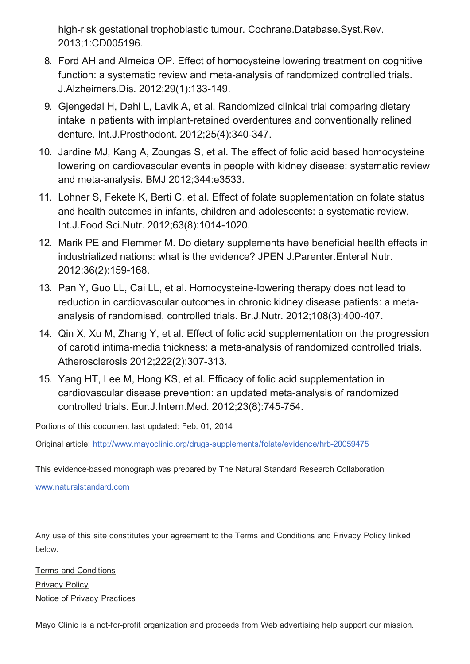high-risk gestational trophoblastic tumour. Cochrane.Database.Syst.Rev. 2013;1:CD005196.

- 8. Ford AH and Almeida OP. Effect of homocysteine lowering treatment on cognitive function: a systematic review and meta-analysis of randomized controlled trials. J.Alzheimers.Dis. 2012;29(1):133149.
- 9. Gjengedal H, Dahl L, Lavik A, et al. Randomized clinical trial comparing dietary intake in patients with implant-retained overdentures and conventionally relined denture. Int.J.Prosthodont. 2012;25(4):340-347.
- 10. Jardine MJ, Kang A, Zoungas S, et al. The effect of folic acid based homocysteine lowering on cardiovascular events in people with kidney disease: systematic review and meta-analysis. BMJ 2012;344:e3533.
- 11. Lohner S, Fekete K, Berti C, et al. Effect of folate supplementation on folate status and health outcomes in infants, children and adolescents: a systematic review. Int.J.Food Sci.Nutr. 2012;63(8):1014-1020.
- 12. Marik PE and Flemmer M. Do dietary supplements have beneficial health effects in industrialized nations: what is the evidence? JPEN J.Parenter.Enteral Nutr. 2012;36(2):159-168.
- 13. Pan Y, Guo LL, Cai LL, et al. Homocysteine-lowering therapy does not lead to reduction in cardiovascular outcomes in chronic kidney disease patients: a metaanalysis of randomised, controlled trials. Br.J.Nutr. 2012;108(3):400-407.
- 14. Qin X, Xu M, Zhang Y, et al. Effect of folic acid supplementation on the progression of carotid intima-media thickness: a meta-analysis of randomized controlled trials. Atherosclerosis 2012;222(2):307-313.
- 15. Yang HT, Lee M, Hong KS, et al. Efficacy of folic acid supplementation in cardiovascular disease prevention: an updated meta-analysis of randomized controlled trials. Eur.J.Intern.Med. 2012;23(8):745-754.

Portions of this document last updated: Feb. 01, 2014

Original article: http://www.mayoclinic.org/drugs-supplements/folate/evidence/hrb-20059475

This evidence-based monograph was prepared by The Natural Standard Research Collaboration

#### [www.naturalstandard.com](http://www.naturalstandard.com/)

Any use of this site constitutes your agreement to the Terms and Conditions and Privacy Policy linked below.

Terms and [Conditions](http://www.mayoclinic.org/about-this-site/terms-conditions-use-policy) **[Privacy](http://www.mayoclinic.org/about-this-site/privacy-policy) Policy** Notice of Privacy [Practices](http://www.mayoclinic.org/about-mayo-clinic/notice-of-privacy-practices)

Mayo Clinic is a not-for-profit organization and proceeds from Web advertising help support our mission.